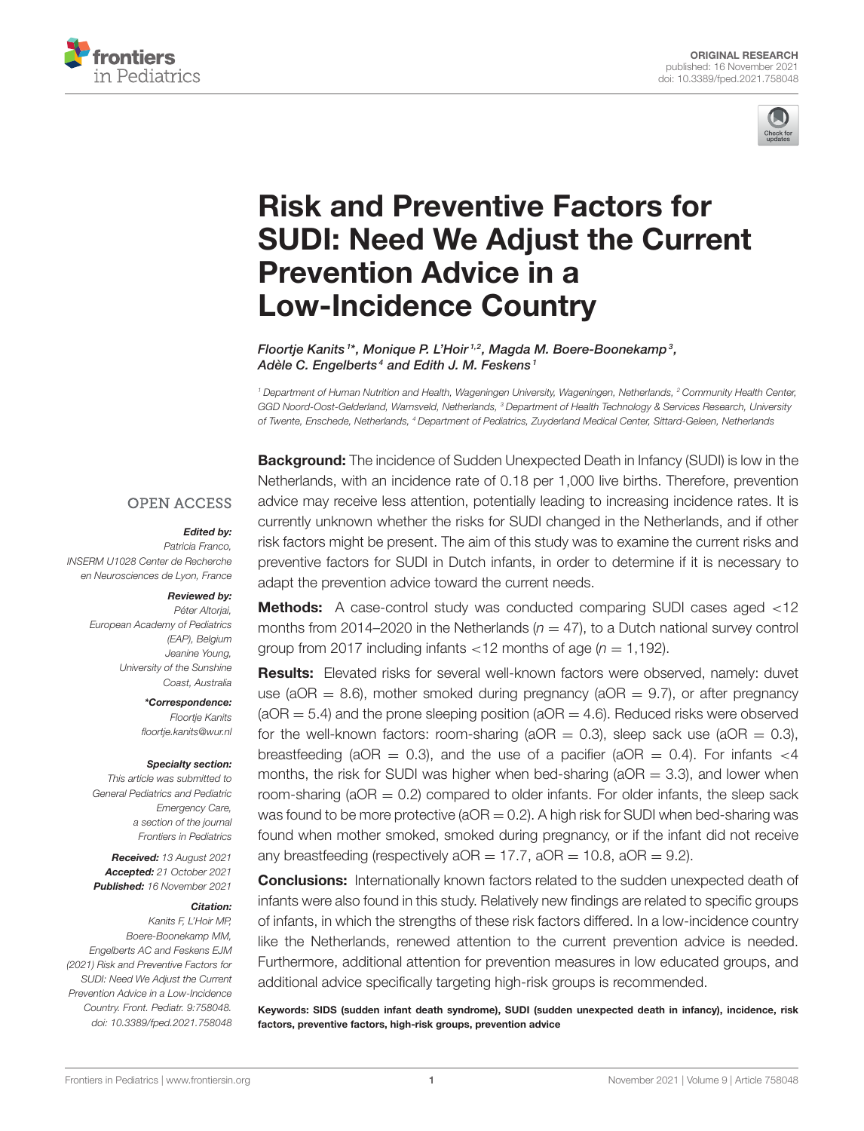



# Risk and Preventive Factors for [SUDI: Need We Adjust the Current](https://www.frontiersin.org/articles/10.3389/fped.2021.758048/full) Prevention Advice in a Low-Incidence Country

Floortje Kanits1\*, Monique P. L'Hoir<sup>1,2</sup>, Magda M. Boere-Boonekamp<sup>3</sup>, Adèle C. Engelberts<sup>4</sup> and Edith J. M. Feskens<sup>1</sup>

<sup>1</sup> Department of Human Nutrition and Health, Wageningen University, Wageningen, Netherlands, <sup>2</sup> Community Health Center, GGD Noord-Oost-Gelderland, Warnsveld, Netherlands, <sup>3</sup> Department of Health Technology & Services Research, University of Twente, Enschede, Netherlands, <sup>4</sup> Department of Pediatrics, Zuyderland Medical Center, Sittard-Geleen, Netherlands

**OPEN ACCESS** 

#### Edited by:

Patricia Franco, INSERM U1028 Center de Recherche en Neurosciences de Lyon, France

#### Reviewed by:

Péter Altorjai, European Academy of Pediatrics (EAP), Belgium Jeanine Young, University of the Sunshine Coast, Australia

> \*Correspondence: Floortje Kanits [floortje.kanits@wur.nl](mailto:floortje.kanits@wur.nl)

#### Specialty section:

This article was submitted to General Pediatrics and Pediatric Emergency Care, a section of the journal Frontiers in Pediatrics

Received: 13 August 2021 Accepted: 21 October 2021 Published: 16 November 2021

#### Citation:

Kanits F, L'Hoir MP, Boere-Boonekamp MM, Engelberts AC and Feskens EJM (2021) Risk and Preventive Factors for SUDI: Need We Adjust the Current Prevention Advice in a Low-Incidence Country. Front. Pediatr. 9:758048. doi: [10.3389/fped.2021.758048](https://doi.org/10.3389/fped.2021.758048) **Background:** The incidence of Sudden Unexpected Death in Infancy (SUDI) is low in the Netherlands, with an incidence rate of 0.18 per 1,000 live births. Therefore, prevention advice may receive less attention, potentially leading to increasing incidence rates. It is currently unknown whether the risks for SUDI changed in the Netherlands, and if other risk factors might be present. The aim of this study was to examine the current risks and preventive factors for SUDI in Dutch infants, in order to determine if it is necessary to adapt the prevention advice toward the current needs.

Methods: A case-control study was conducted comparing SUDI cases aged <12 months from 2014–2020 in the Netherlands ( $n = 47$ ), to a Dutch national survey control group from 2017 including infants  $<$  12 months of age ( $n = 1,192$ ).

**Results:** Elevated risks for several well-known factors were observed, namely: duvet use (aOR  $= 8.6$ ), mother smoked during pregnancy (aOR  $= 9.7$ ), or after pregnancy  $(aOR = 5.4)$  and the prone sleeping position  $(aOR = 4.6)$ . Reduced risks were observed for the well-known factors: room-sharing ( $aOR = 0.3$ ), sleep sack use ( $aOR = 0.3$ ), breastfeeding (aOR = 0.3), and the use of a pacifier (aOR = 0.4). For infants  $\lt 4$ months, the risk for SUDI was higher when bed-sharing ( $aOR = 3.3$ ), and lower when room-sharing ( $aOR = 0.2$ ) compared to older infants. For older infants, the sleep sack was found to be more protective ( $aOR = 0.2$ ). A high risk for SUDI when bed-sharing was found when mother smoked, smoked during pregnancy, or if the infant did not receive any breastfeeding (respectively  $aOR = 17.7$ ,  $aOR = 10.8$ ,  $aOR = 9.2$ ).

**Conclusions:** Internationally known factors related to the sudden unexpected death of infants were also found in this study. Relatively new findings are related to specific groups of infants, in which the strengths of these risk factors differed. In a low-incidence country like the Netherlands, renewed attention to the current prevention advice is needed. Furthermore, additional attention for prevention measures in low educated groups, and additional advice specifically targeting high-risk groups is recommended.

Keywords: SIDS (sudden infant death syndrome), SUDI (sudden unexpected death in infancy), incidence, risk factors, preventive factors, high-risk groups, prevention advice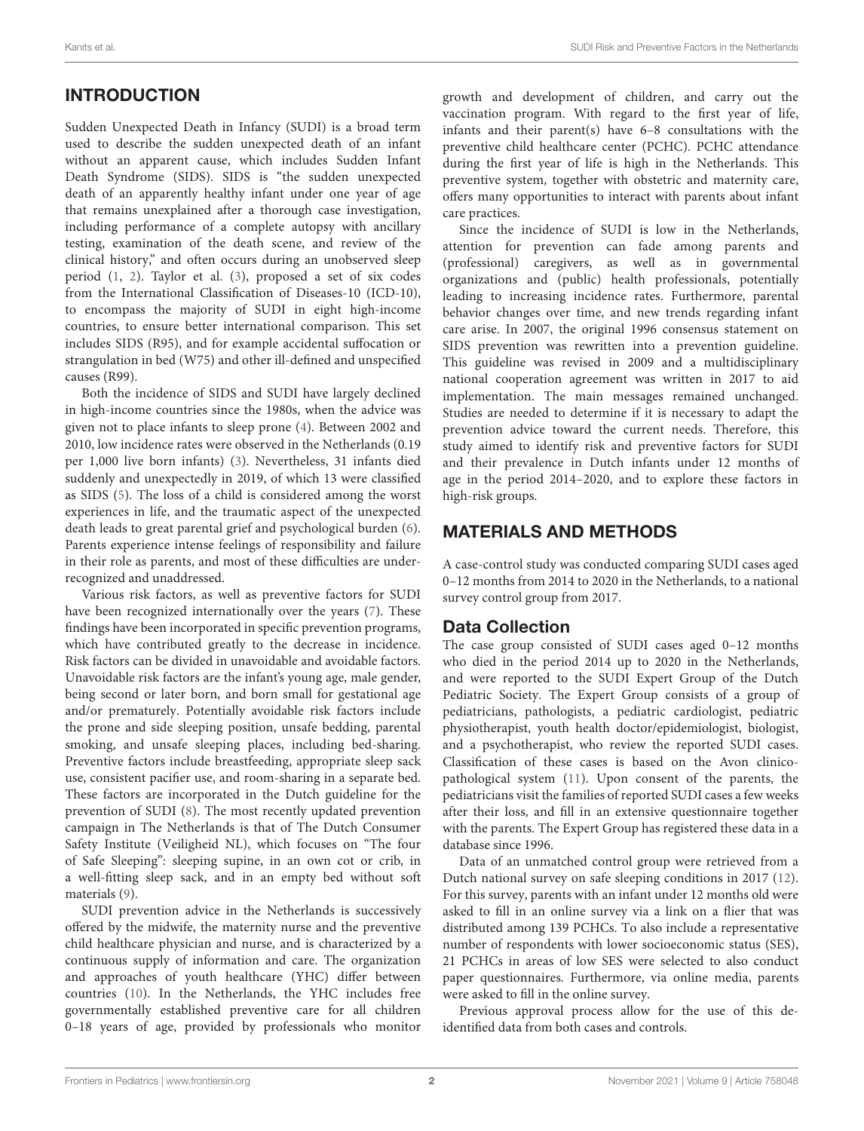# INTRODUCTION

Sudden Unexpected Death in Infancy (SUDI) is a broad term used to describe the sudden unexpected death of an infant without an apparent cause, which includes Sudden Infant Death Syndrome (SIDS). SIDS is "the sudden unexpected death of an apparently healthy infant under one year of age that remains unexplained after a thorough case investigation, including performance of a complete autopsy with ancillary testing, examination of the death scene, and review of the clinical history," and often occurs during an unobserved sleep period [\(1,](#page-7-0) [2\)](#page-7-1). Taylor et al. [\(3\)](#page-7-2), proposed a set of six codes from the International Classification of Diseases-10 (ICD-10), to encompass the majority of SUDI in eight high-income countries, to ensure better international comparison. This set includes SIDS (R95), and for example accidental suffocation or strangulation in bed (W75) and other ill-defined and unspecified causes (R99).

Both the incidence of SIDS and SUDI have largely declined in high-income countries since the 1980s, when the advice was given not to place infants to sleep prone [\(4\)](#page-7-3). Between 2002 and 2010, low incidence rates were observed in the Netherlands (0.19 per 1,000 live born infants) [\(3\)](#page-7-2). Nevertheless, 31 infants died suddenly and unexpectedly in 2019, of which 13 were classified as SIDS [\(5\)](#page-7-4). The loss of a child is considered among the worst experiences in life, and the traumatic aspect of the unexpected death leads to great parental grief and psychological burden [\(6\)](#page-7-5). Parents experience intense feelings of responsibility and failure in their role as parents, and most of these difficulties are underrecognized and unaddressed.

Various risk factors, as well as preventive factors for SUDI have been recognized internationally over the years [\(7\)](#page-7-6). These findings have been incorporated in specific prevention programs, which have contributed greatly to the decrease in incidence. Risk factors can be divided in unavoidable and avoidable factors. Unavoidable risk factors are the infant's young age, male gender, being second or later born, and born small for gestational age and/or prematurely. Potentially avoidable risk factors include the prone and side sleeping position, unsafe bedding, parental smoking, and unsafe sleeping places, including bed-sharing. Preventive factors include breastfeeding, appropriate sleep sack use, consistent pacifier use, and room-sharing in a separate bed. These factors are incorporated in the Dutch guideline for the prevention of SUDI [\(8\)](#page-7-7). The most recently updated prevention campaign in The Netherlands is that of The Dutch Consumer Safety Institute (Veiligheid NL), which focuses on "The four of Safe Sleeping": sleeping supine, in an own cot or crib, in a well-fitting sleep sack, and in an empty bed without soft materials [\(9\)](#page-7-8).

SUDI prevention advice in the Netherlands is successively offered by the midwife, the maternity nurse and the preventive child healthcare physician and nurse, and is characterized by a continuous supply of information and care. The organization and approaches of youth healthcare (YHC) differ between countries [\(10\)](#page-7-9). In the Netherlands, the YHC includes free governmentally established preventive care for all children 0–18 years of age, provided by professionals who monitor growth and development of children, and carry out the vaccination program. With regard to the first year of life, infants and their parent(s) have 6–8 consultations with the preventive child healthcare center (PCHC). PCHC attendance during the first year of life is high in the Netherlands. This preventive system, together with obstetric and maternity care, offers many opportunities to interact with parents about infant care practices.

Since the incidence of SUDI is low in the Netherlands, attention for prevention can fade among parents and (professional) caregivers, as well as in governmental organizations and (public) health professionals, potentially leading to increasing incidence rates. Furthermore, parental behavior changes over time, and new trends regarding infant care arise. In 2007, the original 1996 consensus statement on SIDS prevention was rewritten into a prevention guideline. This guideline was revised in 2009 and a multidisciplinary national cooperation agreement was written in 2017 to aid implementation. The main messages remained unchanged. Studies are needed to determine if it is necessary to adapt the prevention advice toward the current needs. Therefore, this study aimed to identify risk and preventive factors for SUDI and their prevalence in Dutch infants under 12 months of age in the period 2014–2020, and to explore these factors in high-risk groups.

# MATERIALS AND METHODS

A case-control study was conducted comparing SUDI cases aged 0–12 months from 2014 to 2020 in the Netherlands, to a national survey control group from 2017.

### Data Collection

The case group consisted of SUDI cases aged 0–12 months who died in the period 2014 up to 2020 in the Netherlands, and were reported to the SUDI Expert Group of the Dutch Pediatric Society. The Expert Group consists of a group of pediatricians, pathologists, a pediatric cardiologist, pediatric physiotherapist, youth health doctor/epidemiologist, biologist, and a psychotherapist, who review the reported SUDI cases. Classification of these cases is based on the Avon clinicopathological system [\(11\)](#page-7-10). Upon consent of the parents, the pediatricians visit the families of reported SUDI cases a few weeks after their loss, and fill in an extensive questionnaire together with the parents. The Expert Group has registered these data in a database since 1996.

Data of an unmatched control group were retrieved from a Dutch national survey on safe sleeping conditions in 2017 [\(12\)](#page-7-11). For this survey, parents with an infant under 12 months old were asked to fill in an online survey via a link on a flier that was distributed among 139 PCHCs. To also include a representative number of respondents with lower socioeconomic status (SES), 21 PCHCs in areas of low SES were selected to also conduct paper questionnaires. Furthermore, via online media, parents were asked to fill in the online survey.

Previous approval process allow for the use of this deidentified data from both cases and controls.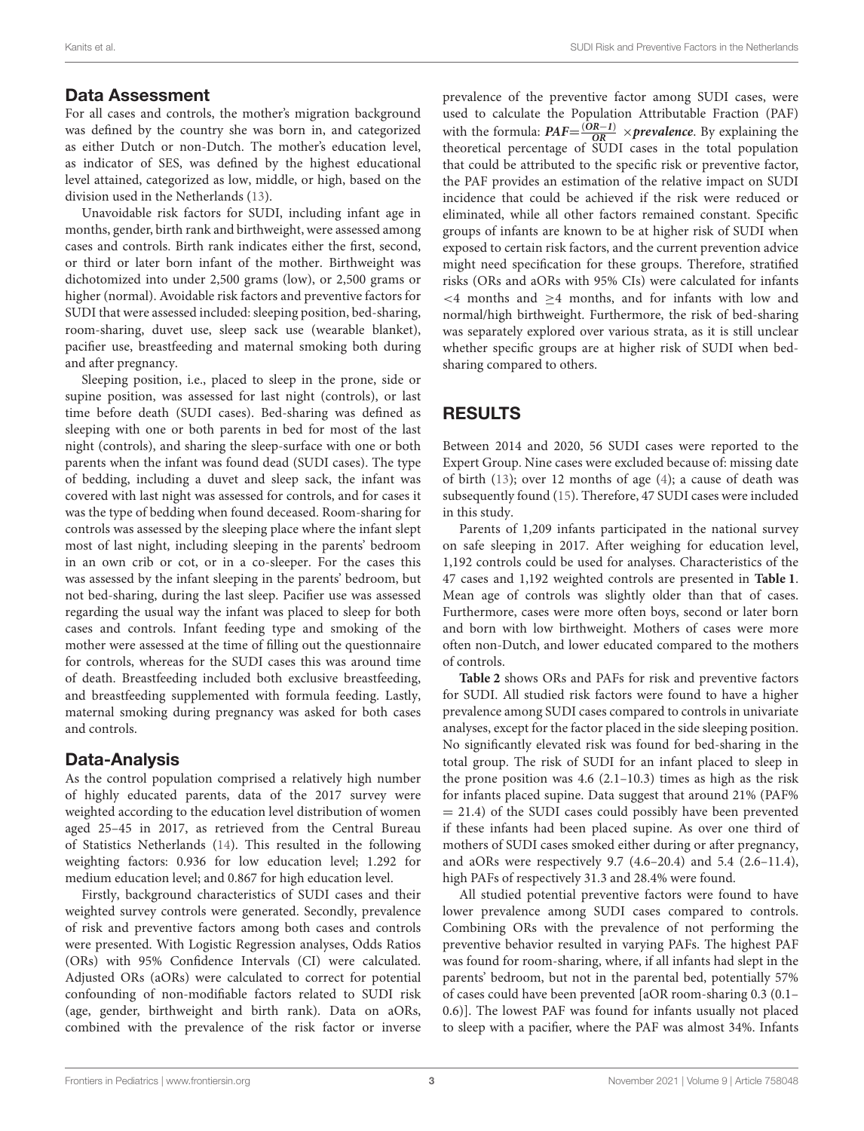### Data Assessment

For all cases and controls, the mother's migration background was defined by the country she was born in, and categorized as either Dutch or non-Dutch. The mother's education level, as indicator of SES, was defined by the highest educational level attained, categorized as low, middle, or high, based on the division used in the Netherlands [\(13\)](#page-7-12).

Unavoidable risk factors for SUDI, including infant age in months, gender, birth rank and birthweight, were assessed among cases and controls. Birth rank indicates either the first, second, or third or later born infant of the mother. Birthweight was dichotomized into under 2,500 grams (low), or 2,500 grams or higher (normal). Avoidable risk factors and preventive factors for SUDI that were assessed included: sleeping position, bed-sharing, room-sharing, duvet use, sleep sack use (wearable blanket), pacifier use, breastfeeding and maternal smoking both during and after pregnancy.

Sleeping position, i.e., placed to sleep in the prone, side or supine position, was assessed for last night (controls), or last time before death (SUDI cases). Bed-sharing was defined as sleeping with one or both parents in bed for most of the last night (controls), and sharing the sleep-surface with one or both parents when the infant was found dead (SUDI cases). The type of bedding, including a duvet and sleep sack, the infant was covered with last night was assessed for controls, and for cases it was the type of bedding when found deceased. Room-sharing for controls was assessed by the sleeping place where the infant slept most of last night, including sleeping in the parents' bedroom in an own crib or cot, or in a co-sleeper. For the cases this was assessed by the infant sleeping in the parents' bedroom, but not bed-sharing, during the last sleep. Pacifier use was assessed regarding the usual way the infant was placed to sleep for both cases and controls. Infant feeding type and smoking of the mother were assessed at the time of filling out the questionnaire for controls, whereas for the SUDI cases this was around time of death. Breastfeeding included both exclusive breastfeeding, and breastfeeding supplemented with formula feeding. Lastly, maternal smoking during pregnancy was asked for both cases and controls.

### Data-Analysis

As the control population comprised a relatively high number of highly educated parents, data of the 2017 survey were weighted according to the education level distribution of women aged 25–45 in 2017, as retrieved from the Central Bureau of Statistics Netherlands [\(14\)](#page-7-13). This resulted in the following weighting factors: 0.936 for low education level; 1.292 for medium education level; and 0.867 for high education level.

Firstly, background characteristics of SUDI cases and their weighted survey controls were generated. Secondly, prevalence of risk and preventive factors among both cases and controls were presented. With Logistic Regression analyses, Odds Ratios (ORs) with 95% Confidence Intervals (CI) were calculated. Adjusted ORs (aORs) were calculated to correct for potential confounding of non-modifiable factors related to SUDI risk (age, gender, birthweight and birth rank). Data on aORs, combined with the prevalence of the risk factor or inverse prevalence of the preventive factor among SUDI cases, were used to calculate the Population Attributable Fraction (PAF) with the formula:  $PAF = \frac{(OR-1)}{OR} \times prevalence$ . By explaining the theoretical percentage of SUDI cases in the total population that could be attributed to the specific risk or preventive factor, the PAF provides an estimation of the relative impact on SUDI incidence that could be achieved if the risk were reduced or eliminated, while all other factors remained constant. Specific groups of infants are known to be at higher risk of SUDI when exposed to certain risk factors, and the current prevention advice might need specification for these groups. Therefore, stratified risks (ORs and aORs with 95% CIs) were calculated for infants <4 months and ≥4 months, and for infants with low and normal/high birthweight. Furthermore, the risk of bed-sharing was separately explored over various strata, as it is still unclear whether specific groups are at higher risk of SUDI when bedsharing compared to others.

# RESULTS

Between 2014 and 2020, 56 SUDI cases were reported to the Expert Group. Nine cases were excluded because of: missing date of birth [\(13\)](#page-7-12); over 12 months of age [\(4\)](#page-7-3); a cause of death was subsequently found [\(15\)](#page-7-14). Therefore, 47 SUDI cases were included in this study.

Parents of 1,209 infants participated in the national survey on safe sleeping in 2017. After weighing for education level, 1,192 controls could be used for analyses. Characteristics of the 47 cases and 1,192 weighted controls are presented in **[Table 1](#page-3-0)**. Mean age of controls was slightly older than that of cases. Furthermore, cases were more often boys, second or later born and born with low birthweight. Mothers of cases were more often non-Dutch, and lower educated compared to the mothers of controls.

**[Table 2](#page-3-1)** shows ORs and PAFs for risk and preventive factors for SUDI. All studied risk factors were found to have a higher prevalence among SUDI cases compared to controls in univariate analyses, except for the factor placed in the side sleeping position. No significantly elevated risk was found for bed-sharing in the total group. The risk of SUDI for an infant placed to sleep in the prone position was 4.6 (2.1–10.3) times as high as the risk for infants placed supine. Data suggest that around 21% (PAF% = 21.4) of the SUDI cases could possibly have been prevented if these infants had been placed supine. As over one third of mothers of SUDI cases smoked either during or after pregnancy, and aORs were respectively 9.7 (4.6–20.4) and 5.4 (2.6–11.4), high PAFs of respectively 31.3 and 28.4% were found.

All studied potential preventive factors were found to have lower prevalence among SUDI cases compared to controls. Combining ORs with the prevalence of not performing the preventive behavior resulted in varying PAFs. The highest PAF was found for room-sharing, where, if all infants had slept in the parents' bedroom, but not in the parental bed, potentially 57% of cases could have been prevented [aOR room-sharing 0.3 (0.1– 0.6)]. The lowest PAF was found for infants usually not placed to sleep with a pacifier, where the PAF was almost 34%. Infants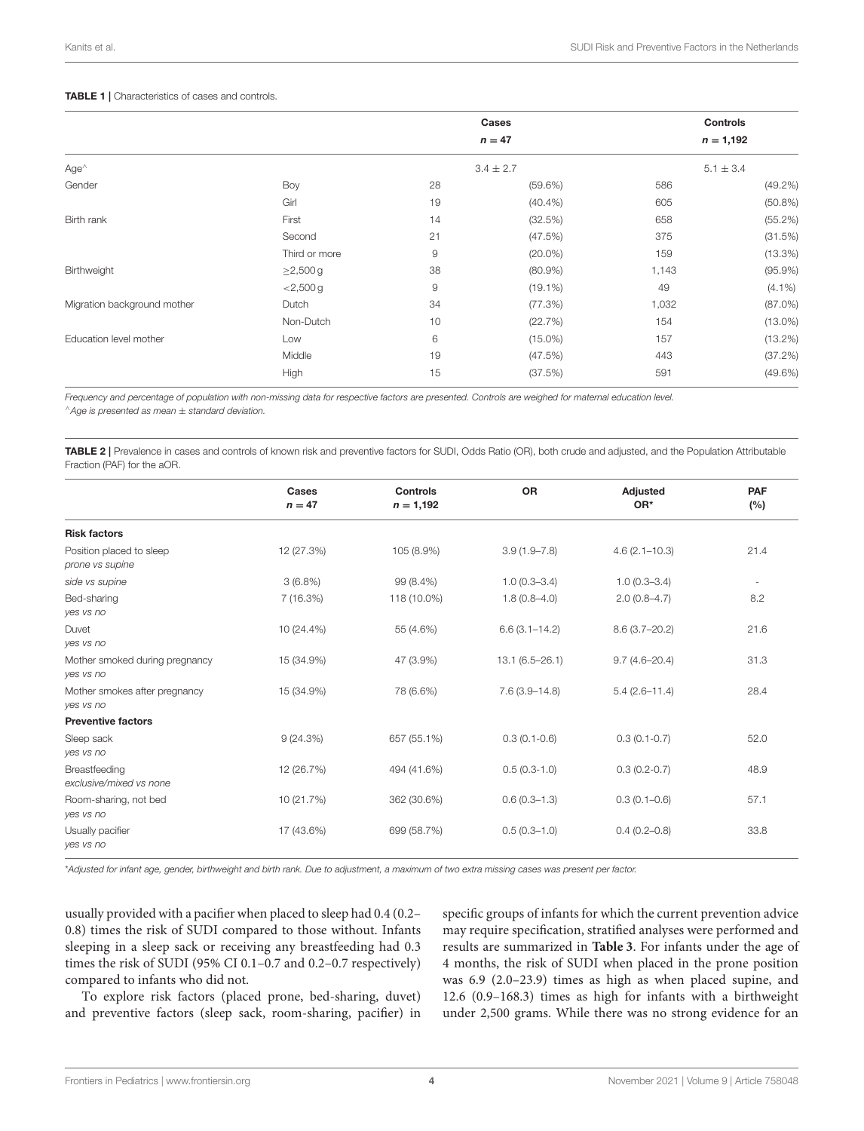#### <span id="page-3-0"></span>TABLE 1 | Characteristics of cases and controls.

|                             |                |               | <b>Cases</b><br>$n = 47$ | <b>Controls</b><br>$n = 1,192$ |            |
|-----------------------------|----------------|---------------|--------------------------|--------------------------------|------------|
| $Age^{\wedge}$              |                | $3.4 \pm 2.7$ |                          | $5.1 \pm 3.4$                  |            |
| Gender                      | Boy            | 28            | $(59.6\%)$               | 586                            | $(49.2\%)$ |
|                             | Girl           | 19            | $(40.4\%)$               | 605                            | (50.8%)    |
| Birth rank                  | First          | 14            | (32.5%)                  | 658                            | (55.2%)    |
|                             | Second         | 21            | (47.5%)                  | 375                            | (31.5%)    |
|                             | Third or more  | $\mathsf 9$   | $(20.0\%)$               | 159                            | $(13.3\%)$ |
| Birthweight                 | $\geq$ 2,500 g | 38            | $(80.9\%)$               | 1,143                          | $(95.9\%)$ |
|                             | $<$ 2,500 g    | 9             | $(19.1\%)$               | 49                             | $(4.1\%)$  |
| Migration background mother | Dutch          | 34            | (77.3%)                  | 1,032                          | $(87.0\%)$ |
|                             | Non-Dutch      | 10            | (22.7%)                  | 154                            | $(13.0\%)$ |
| Education level mother      | Low            | 6             | $(15.0\%)$               | 157                            | $(13.2\%)$ |
|                             | Middle         | 19            | (47.5%)                  | 443                            | (37.2%)    |
|                             | High           | 15            | (37.5%)                  | 591                            | $(49.6\%)$ |

Frequency and percentage of population with non-missing data for respective factors are presented. Controls are weighed for maternal education level. <sup>∧</sup>Age is presented as mean ± standard deviation.

<span id="page-3-1"></span>TABLE 2 | Prevalence in cases and controls of known risk and preventive factors for SUDI, Odds Ratio (OR), both crude and adjusted, and the Population Attributable Fraction (PAF) for the aOR.

|                                             | Cases<br>$n = 47$ | <b>Controls</b><br>$n = 1,192$ | <b>OR</b>          | Adjusted<br>OR*   | <b>PAF</b><br>(%) |
|---------------------------------------------|-------------------|--------------------------------|--------------------|-------------------|-------------------|
| <b>Risk factors</b>                         |                   |                                |                    |                   |                   |
| Position placed to sleep<br>prone vs supine | 12 (27.3%)        | 105 (8.9%)                     | $3.9(1.9 - 7.8)$   | $4.6(2.1 - 10.3)$ | 21.4              |
| side vs supine                              | $3(6.8\%)$        | 99 (8.4%)                      | $1.0(0.3 - 3.4)$   | $1.0(0.3 - 3.4)$  | $\sim$            |
| Bed-sharing<br>yes vs no                    | 7(16.3%)          | 118 (10.0%)                    | $1.8(0.8 - 4.0)$   | $2.0(0.8-4.7)$    | 8.2               |
| Duvet<br>yes vs no                          | 10 (24.4%)        | 55 (4.6%)                      | $6.6(3.1 - 14.2)$  | $8.6(3.7 - 20.2)$ | 21.6              |
| Mother smoked during pregnancy<br>yes vs no | 15 (34.9%)        | 47 (3.9%)                      | $13.1(6.5 - 26.1)$ | $9.7(4.6 - 20.4)$ | 31.3              |
| Mother smokes after pregnancy<br>yes vs no  | 15 (34.9%)        | 78 (6.6%)                      | $7.6(3.9 - 14.8)$  | $5.4(2.6 - 11.4)$ | 28.4              |
| <b>Preventive factors</b>                   |                   |                                |                    |                   |                   |
| Sleep sack<br>yes vs no                     | 9(24.3%)          | 657 (55.1%)                    | $0.3(0.1-0.6)$     | $0.3(0.1-0.7)$    | 52.0              |
| Breastfeeding<br>exclusive/mixed vs none    | 12 (26.7%)        | 494 (41.6%)                    | $0.5(0.3-1.0)$     | $0.3(0.2-0.7)$    | 48.9              |
| Room-sharing, not bed<br>yes vs no          | 10 (21.7%)        | 362 (30.6%)                    | $0.6(0.3-1.3)$     | $0.3(0.1 - 0.6)$  | 57.1              |
| Usually pacifier<br>yes vs no               | 17 (43.6%)        | 699 (58.7%)                    | $0.5(0.3 - 1.0)$   | $0.4(0.2 - 0.8)$  | 33.8              |

\*Adjusted for infant age, gender, birthweight and birth rank. Due to adjustment, a maximum of two extra missing cases was present per factor.

usually provided with a pacifier when placed to sleep had 0.4 (0.2– 0.8) times the risk of SUDI compared to those without. Infants sleeping in a sleep sack or receiving any breastfeeding had 0.3 times the risk of SUDI (95% CI 0.1–0.7 and 0.2–0.7 respectively) compared to infants who did not.

To explore risk factors (placed prone, bed-sharing, duvet) and preventive factors (sleep sack, room-sharing, pacifier) in

specific groups of infants for which the current prevention advice may require specification, stratified analyses were performed and results are summarized in **[Table 3](#page-5-0)**. For infants under the age of 4 months, the risk of SUDI when placed in the prone position was 6.9 (2.0–23.9) times as high as when placed supine, and 12.6 (0.9–168.3) times as high for infants with a birthweight under 2,500 grams. While there was no strong evidence for an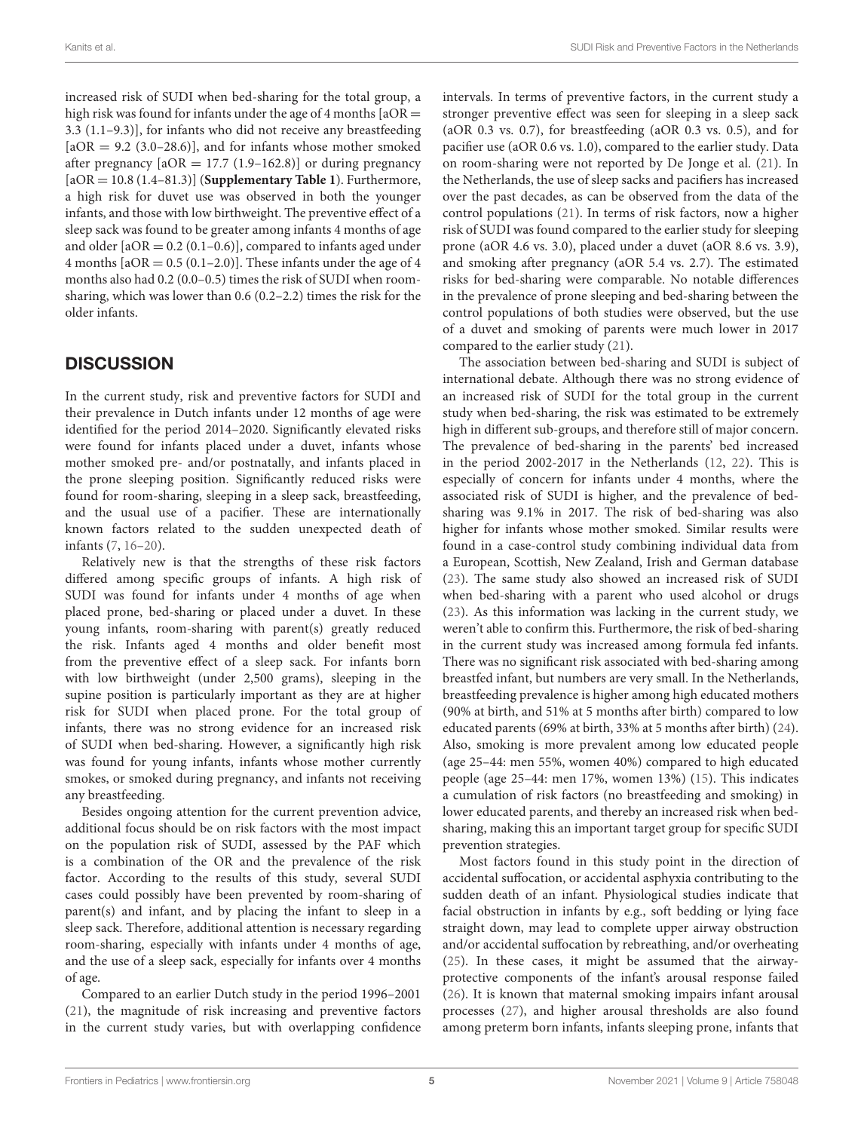increased risk of SUDI when bed-sharing for the total group, a high risk was found for infants under the age of 4 months  $[aOR =$ 3.3 (1.1–9.3)], for infants who did not receive any breastfeeding  $[aOR = 9.2 (3.0-28.6)]$ , and for infants whose mother smoked after pregnancy  $[aOR = 17.7 (1.9–162.8)]$  or during pregnancy [aOR = 10.8 (1.4–81.3)] (**[Supplementary Table 1](#page-6-0)**). Furthermore, a high risk for duvet use was observed in both the younger infants, and those with low birthweight. The preventive effect of a sleep sack was found to be greater among infants 4 months of age and older  $[aOR = 0.2 (0.1 - 0.6)]$ , compared to infants aged under 4 months  $[4OR = 0.5 (0.1–2.0)]$ . These infants under the age of 4 months also had 0.2 (0.0–0.5) times the risk of SUDI when roomsharing, which was lower than 0.6 (0.2–2.2) times the risk for the older infants.

# **DISCUSSION**

In the current study, risk and preventive factors for SUDI and their prevalence in Dutch infants under 12 months of age were identified for the period 2014–2020. Significantly elevated risks were found for infants placed under a duvet, infants whose mother smoked pre- and/or postnatally, and infants placed in the prone sleeping position. Significantly reduced risks were found for room-sharing, sleeping in a sleep sack, breastfeeding, and the usual use of a pacifier. These are internationally known factors related to the sudden unexpected death of infants [\(7,](#page-7-6) [16](#page-7-15)[–20\)](#page-7-16).

Relatively new is that the strengths of these risk factors differed among specific groups of infants. A high risk of SUDI was found for infants under 4 months of age when placed prone, bed-sharing or placed under a duvet. In these young infants, room-sharing with parent(s) greatly reduced the risk. Infants aged 4 months and older benefit most from the preventive effect of a sleep sack. For infants born with low birthweight (under 2,500 grams), sleeping in the supine position is particularly important as they are at higher risk for SUDI when placed prone. For the total group of infants, there was no strong evidence for an increased risk of SUDI when bed-sharing. However, a significantly high risk was found for young infants, infants whose mother currently smokes, or smoked during pregnancy, and infants not receiving any breastfeeding.

Besides ongoing attention for the current prevention advice, additional focus should be on risk factors with the most impact on the population risk of SUDI, assessed by the PAF which is a combination of the OR and the prevalence of the risk factor. According to the results of this study, several SUDI cases could possibly have been prevented by room-sharing of parent(s) and infant, and by placing the infant to sleep in a sleep sack. Therefore, additional attention is necessary regarding room-sharing, especially with infants under 4 months of age, and the use of a sleep sack, especially for infants over 4 months of age.

Compared to an earlier Dutch study in the period 1996–2001 [\(21\)](#page-7-17), the magnitude of risk increasing and preventive factors in the current study varies, but with overlapping confidence intervals. In terms of preventive factors, in the current study a stronger preventive effect was seen for sleeping in a sleep sack (aOR 0.3 vs. 0.7), for breastfeeding (aOR 0.3 vs. 0.5), and for pacifier use (aOR 0.6 vs. 1.0), compared to the earlier study. Data on room-sharing were not reported by De Jonge et al. [\(21\)](#page-7-17). In the Netherlands, the use of sleep sacks and pacifiers has increased over the past decades, as can be observed from the data of the control populations [\(21\)](#page-7-17). In terms of risk factors, now a higher risk of SUDI was found compared to the earlier study for sleeping prone (aOR 4.6 vs. 3.0), placed under a duvet (aOR 8.6 vs. 3.9), and smoking after pregnancy (aOR 5.4 vs. 2.7). The estimated risks for bed-sharing were comparable. No notable differences in the prevalence of prone sleeping and bed-sharing between the control populations of both studies were observed, but the use of a duvet and smoking of parents were much lower in 2017 compared to the earlier study [\(21\)](#page-7-17).

The association between bed-sharing and SUDI is subject of international debate. Although there was no strong evidence of an increased risk of SUDI for the total group in the current study when bed-sharing, the risk was estimated to be extremely high in different sub-groups, and therefore still of major concern. The prevalence of bed-sharing in the parents' bed increased in the period 2002-2017 in the Netherlands [\(12,](#page-7-11) [22\)](#page-7-18). This is especially of concern for infants under 4 months, where the associated risk of SUDI is higher, and the prevalence of bedsharing was 9.1% in 2017. The risk of bed-sharing was also higher for infants whose mother smoked. Similar results were found in a case-control study combining individual data from a European, Scottish, New Zealand, Irish and German database [\(23\)](#page-7-19). The same study also showed an increased risk of SUDI when bed-sharing with a parent who used alcohol or drugs [\(23\)](#page-7-19). As this information was lacking in the current study, we weren't able to confirm this. Furthermore, the risk of bed-sharing in the current study was increased among formula fed infants. There was no significant risk associated with bed-sharing among breastfed infant, but numbers are very small. In the Netherlands, breastfeeding prevalence is higher among high educated mothers (90% at birth, and 51% at 5 months after birth) compared to low educated parents (69% at birth, 33% at 5 months after birth) [\(24\)](#page-7-20). Also, smoking is more prevalent among low educated people (age 25–44: men 55%, women 40%) compared to high educated people (age 25–44: men 17%, women 13%) [\(15\)](#page-7-14). This indicates a cumulation of risk factors (no breastfeeding and smoking) in lower educated parents, and thereby an increased risk when bedsharing, making this an important target group for specific SUDI prevention strategies.

Most factors found in this study point in the direction of accidental suffocation, or accidental asphyxia contributing to the sudden death of an infant. Physiological studies indicate that facial obstruction in infants by e.g., soft bedding or lying face straight down, may lead to complete upper airway obstruction and/or accidental suffocation by rebreathing, and/or overheating [\(25\)](#page-7-21). In these cases, it might be assumed that the airwayprotective components of the infant's arousal response failed [\(26\)](#page-7-22). It is known that maternal smoking impairs infant arousal processes [\(27\)](#page-7-23), and higher arousal thresholds are also found among preterm born infants, infants sleeping prone, infants that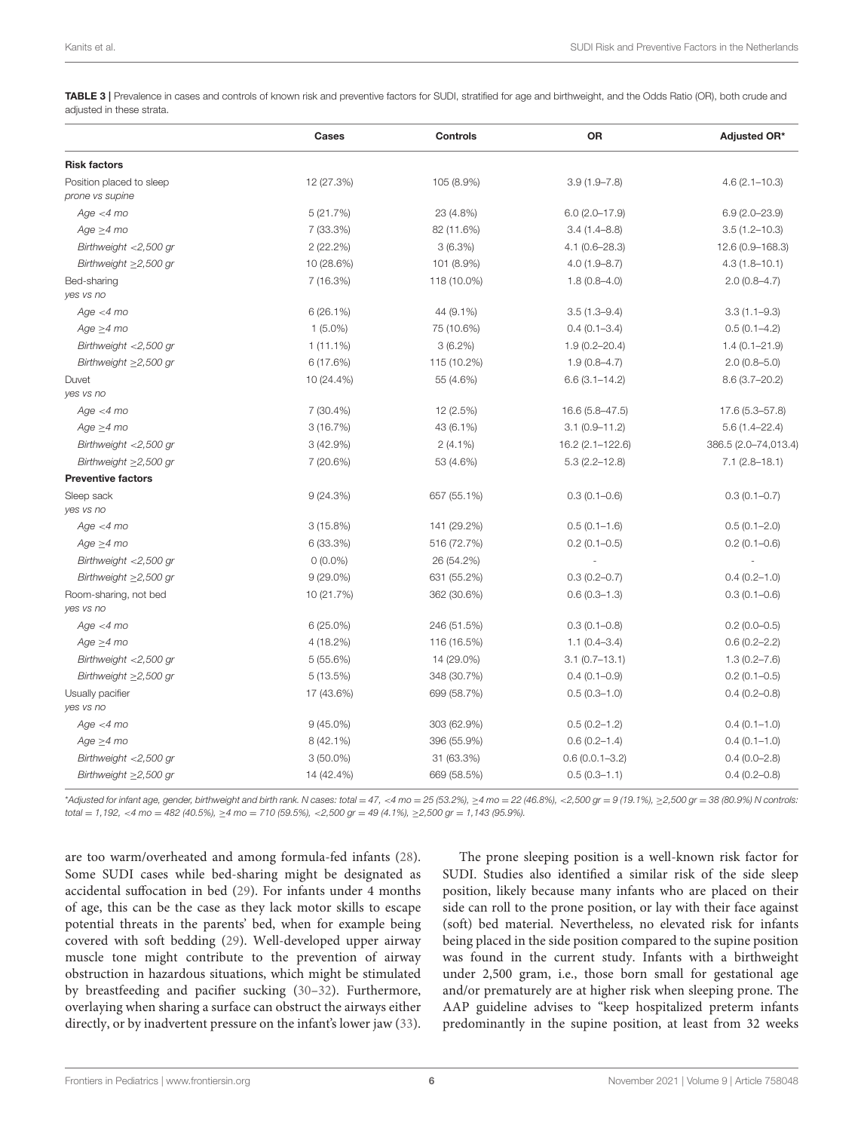<span id="page-5-0"></span>TABLE 3 | Prevalence in cases and controls of known risk and preventive factors for SUDI, stratified for age and birthweight, and the Odds Ratio (OR), both crude and adjusted in these strata.

|                                             | Cases       | <b>Controls</b> | OR                 | Adjusted OR*         |
|---------------------------------------------|-------------|-----------------|--------------------|----------------------|
| <b>Risk factors</b>                         |             |                 |                    |                      |
| Position placed to sleep<br>prone vs supine | 12 (27.3%)  | 105 (8.9%)      | $3.9(1.9 - 7.8)$   | $4.6(2.1 - 10.3)$    |
| Age < 4 mo                                  | 5(21.7%)    | 23 (4.8%)       | $6.0(2.0-17.9)$    | $6.9(2.0 - 23.9)$    |
| $Age \geq 4 mo$                             | 7 (33.3%)   | 82 (11.6%)      | $3.4(1.4 - 8.8)$   | $3.5(1.2 - 10.3)$    |
| Birthweight $<$ 2,500 gr                    | 2(22.2%)    | 3(6.3%)         | $4.1(0.6 - 28.3)$  | 12.6 (0.9-168.3)     |
| Birthweight $\geq$ 2,500 gr                 | 10 (28.6%)  | 101 (8.9%)      | $4.0(1.9 - 8.7)$   | $4.3(1.8 - 10.1)$    |
| Bed-sharing<br>ves vs no                    | 7(16.3%)    | 118 (10.0%)     | $1.8(0.8-4.0)$     | $2.0(0.8-4.7)$       |
| Age < 4 mo                                  | 6(26.1%)    | 44 (9.1%)       | $3.5(1.3 - 9.4)$   | $3.3(1.1 - 9.3)$     |
| $Age \geq 4 mo$                             | $1(5.0\%)$  | 75 (10.6%)      | $0.4(0.1 - 3.4)$   | $0.5(0.1-4.2)$       |
| Birthweight <2,500 gr                       | $1(11.1\%)$ | $3(6.2\%)$      | $1.9(0.2 - 20.4)$  | $1.4(0.1 - 21.9)$    |
| Birthweight $\geq$ 2,500 gr                 | 6(17.6%)    | 115 (10.2%)     | $1.9(0.8-4.7)$     | $2.0(0.8 - 5.0)$     |
| Duvet<br>ves vs no                          | 10 (24.4%)  | 55 (4.6%)       | $6.6(3.1 - 14.2)$  | $8.6(3.7 - 20.2)$    |
| Age < 4 mo                                  | $7(30.4\%)$ | 12 (2.5%)       | 16.6 (5.8–47.5)    | 17.6 (5.3–57.8)      |
| $Age \geq 4 mo$                             | 3(16.7%)    | 43 (6.1%)       | $3.1(0.9 - 11.2)$  | $5.6(1.4 - 22.4)$    |
| Birthweight <2,500 gr                       | 3(42.9%)    | $2(4.1\%)$      | 16.2 (2.1-122.6)   | 386.5 (2.0-74,013.4) |
| Birthweight ≥2,500 gr                       | 7 (20.6%)   | 53 (4.6%)       | $5.3(2.2 - 12.8)$  | $7.1(2.8 - 18.1)$    |
| <b>Preventive factors</b>                   |             |                 |                    |                      |
| Sleep sack<br>ves vs no                     | 9(24.3%)    | 657 (55.1%)     | $0.3(0.1 - 0.6)$   | $0.3(0.1 - 0.7)$     |
| Age < 4 mo                                  | 3(15.8%)    | 141 (29.2%)     | $0.5(0.1-1.6)$     | $0.5(0.1 - 2.0)$     |
| $Age \geq 4$ mo                             | 6 (33.3%)   | 516 (72.7%)     | $0.2(0.1 - 0.5)$   | $0.2(0.1 - 0.6)$     |
| Birthweight <2,500 gr                       | $0(0.0\%)$  | 26 (54.2%)      |                    |                      |
| Birthweight $\geq$ 2,500 gr                 | $9(29.0\%)$ | 631 (55.2%)     | $0.3(0.2 - 0.7)$   | $0.4(0.2 - 1.0)$     |
| Room-sharing, not bed<br>ves vs no          | 10 (21.7%)  | 362 (30.6%)     | $0.6(0.3 - 1.3)$   | $0.3(0.1 - 0.6)$     |
| Age < 4 mo                                  | $6(25.0\%)$ | 246 (51.5%)     | $0.3(0.1 - 0.8)$   | $0.2(0.0-0.5)$       |
| $Age \geq 4 mo$                             | 4 (18.2%)   | 116 (16.5%)     | $1.1(0.4 - 3.4)$   | $0.6(0.2 - 2.2)$     |
| Birthweight <2,500 gr                       | 5(55.6%)    | 14 (29.0%)      | $3.1(0.7-13.1)$    | $1.3(0.2 - 7.6)$     |
| Birthweight ≥2,500 gr                       | 5(13.5%)    | 348 (30.7%)     | $0.4(0.1 - 0.9)$   | $0.2(0.1 - 0.5)$     |
| Usually pacifier<br>ves vs no               | 17 (43.6%)  | 699 (58.7%)     | $0.5(0.3 - 1.0)$   | $0.4(0.2 - 0.8)$     |
| Age < 4 mo                                  | $9(45.0\%)$ | 303 (62.9%)     | $0.5(0.2 - 1.2)$   | $0.4(0.1 - 1.0)$     |
| $Age \geq 4 mo$                             | $8(42.1\%)$ | 396 (55.9%)     | $0.6(0.2 - 1.4)$   | $0.4(0.1-1.0)$       |
| Birthweight $<$ 2,500 gr                    | $3(50.0\%)$ | 31 (63.3%)      | $0.6(0.0.1 - 3.2)$ | $0.4(0.0 - 2.8)$     |
| Birthweight $\geq$ 2,500 gr                 | 14 (42.4%)  | 669 (58.5%)     | $0.5(0.3 - 1.1)$   | $0.4(0.2 - 0.8)$     |

\*Adjusted for infant age, gender, birthweight and birth rank. N cases: total = 47, <4 mo = 25 (53.2%), ≥4 mo = 22 (46.8%), <2,500 gr = 9 (19.1%), ≥2,500 gr = 38 (80.9%) N controls: total = 1,192, <4 mo = 482 (40.5%),  $\geq$ 4 mo = 710 (59.5%), <2,500 gr = 49 (4.1%),  $\geq$ 2,500 gr = 1,143 (95.9%).

are too warm/overheated and among formula-fed infants [\(28\)](#page-7-24). Some SUDI cases while bed-sharing might be designated as accidental suffocation in bed [\(29\)](#page-7-25). For infants under 4 months of age, this can be the case as they lack motor skills to escape potential threats in the parents' bed, when for example being covered with soft bedding [\(29\)](#page-7-25). Well-developed upper airway muscle tone might contribute to the prevention of airway obstruction in hazardous situations, which might be stimulated by breastfeeding and pacifier sucking [\(30](#page-7-26)[–32\)](#page-7-27). Furthermore, overlaying when sharing a surface can obstruct the airways either directly, or by inadvertent pressure on the infant's lower jaw [\(33\)](#page-7-28).

The prone sleeping position is a well-known risk factor for SUDI. Studies also identified a similar risk of the side sleep position, likely because many infants who are placed on their side can roll to the prone position, or lay with their face against (soft) bed material. Nevertheless, no elevated risk for infants being placed in the side position compared to the supine position was found in the current study. Infants with a birthweight under 2,500 gram, i.e., those born small for gestational age and/or prematurely are at higher risk when sleeping prone. The AAP guideline advises to "keep hospitalized preterm infants predominantly in the supine position, at least from 32 weeks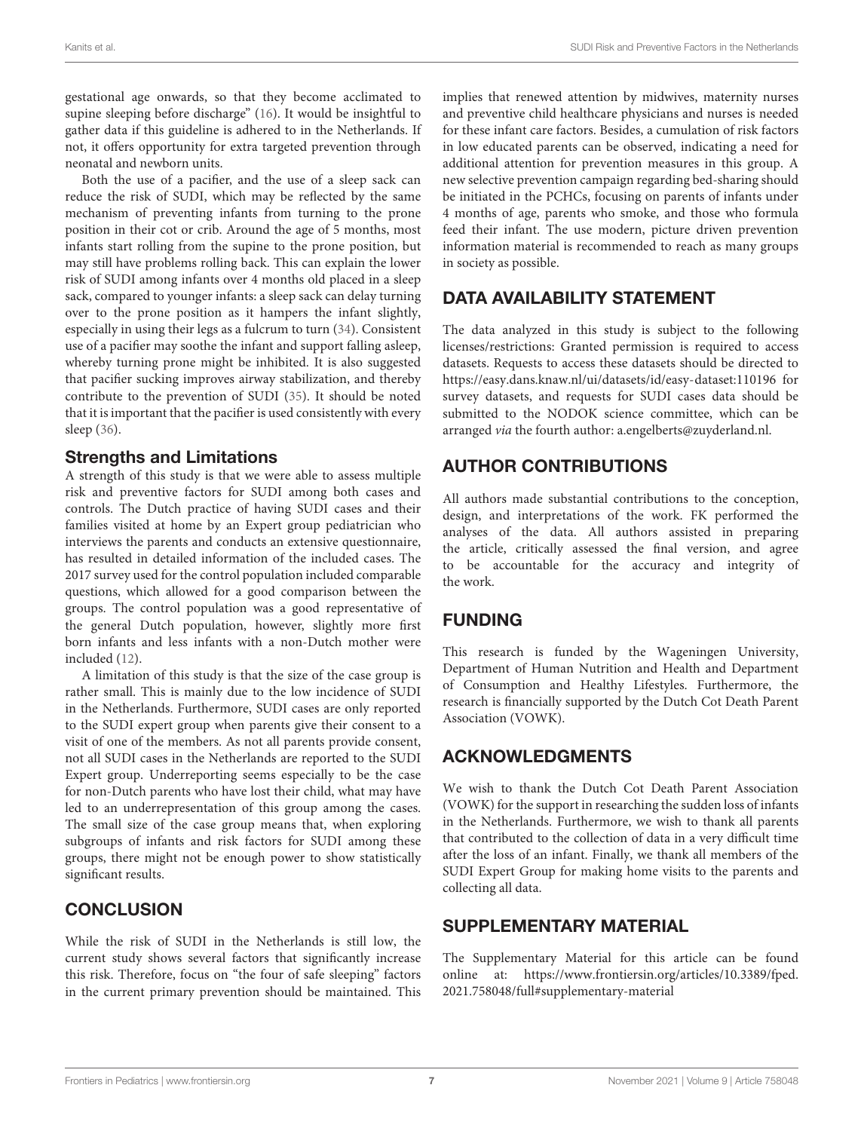gestational age onwards, so that they become acclimated to supine sleeping before discharge" [\(16\)](#page-7-15). It would be insightful to gather data if this guideline is adhered to in the Netherlands. If not, it offers opportunity for extra targeted prevention through neonatal and newborn units.

Both the use of a pacifier, and the use of a sleep sack can reduce the risk of SUDI, which may be reflected by the same mechanism of preventing infants from turning to the prone position in their cot or crib. Around the age of 5 months, most infants start rolling from the supine to the prone position, but may still have problems rolling back. This can explain the lower risk of SUDI among infants over 4 months old placed in a sleep sack, compared to younger infants: a sleep sack can delay turning over to the prone position as it hampers the infant slightly, especially in using their legs as a fulcrum to turn [\(34\)](#page-7-29). Consistent use of a pacifier may soothe the infant and support falling asleep, whereby turning prone might be inhibited. It is also suggested that pacifier sucking improves airway stabilization, and thereby contribute to the prevention of SUDI [\(35\)](#page-7-30). It should be noted that it is important that the pacifier is used consistently with every sleep [\(36\)](#page-7-31).

### Strengths and Limitations

A strength of this study is that we were able to assess multiple risk and preventive factors for SUDI among both cases and controls. The Dutch practice of having SUDI cases and their families visited at home by an Expert group pediatrician who interviews the parents and conducts an extensive questionnaire, has resulted in detailed information of the included cases. The 2017 survey used for the control population included comparable questions, which allowed for a good comparison between the groups. The control population was a good representative of the general Dutch population, however, slightly more first born infants and less infants with a non-Dutch mother were included [\(12\)](#page-7-11).

A limitation of this study is that the size of the case group is rather small. This is mainly due to the low incidence of SUDI in the Netherlands. Furthermore, SUDI cases are only reported to the SUDI expert group when parents give their consent to a visit of one of the members. As not all parents provide consent, not all SUDI cases in the Netherlands are reported to the SUDI Expert group. Underreporting seems especially to be the case for non-Dutch parents who have lost their child, what may have led to an underrepresentation of this group among the cases. The small size of the case group means that, when exploring subgroups of infants and risk factors for SUDI among these groups, there might not be enough power to show statistically significant results.

# **CONCLUSION**

While the risk of SUDI in the Netherlands is still low, the current study shows several factors that significantly increase this risk. Therefore, focus on "the four of safe sleeping" factors in the current primary prevention should be maintained. This

implies that renewed attention by midwives, maternity nurses and preventive child healthcare physicians and nurses is needed for these infant care factors. Besides, a cumulation of risk factors in low educated parents can be observed, indicating a need for additional attention for prevention measures in this group. A new selective prevention campaign regarding bed-sharing should be initiated in the PCHCs, focusing on parents of infants under 4 months of age, parents who smoke, and those who formula feed their infant. The use modern, picture driven prevention information material is recommended to reach as many groups in society as possible.

# DATA AVAILABILITY STATEMENT

The data analyzed in this study is subject to the following licenses/restrictions: Granted permission is required to access datasets. Requests to access these datasets should be directed to <https://easy.dans.knaw.nl/ui/datasets/id/easy-dataset:110196> for survey datasets, and requests for SUDI cases data should be submitted to the NODOK science committee, which can be arranged via the fourth author: [a.engelberts@zuyderland.nl.](mailto:a.engelberts@zuyderland.nl)

# AUTHOR CONTRIBUTIONS

All authors made substantial contributions to the conception, design, and interpretations of the work. FK performed the analyses of the data. All authors assisted in preparing the article, critically assessed the final version, and agree to be accountable for the accuracy and integrity of the work.

# FUNDING

This research is funded by the Wageningen University, Department of Human Nutrition and Health and Department of Consumption and Healthy Lifestyles. Furthermore, the research is financially supported by the Dutch Cot Death Parent Association (VOWK).

# ACKNOWLEDGMENTS

We wish to thank the Dutch Cot Death Parent Association (VOWK) for the support in researching the sudden loss of infants in the Netherlands. Furthermore, we wish to thank all parents that contributed to the collection of data in a very difficult time after the loss of an infant. Finally, we thank all members of the SUDI Expert Group for making home visits to the parents and collecting all data.

### SUPPLEMENTARY MATERIAL

<span id="page-6-0"></span>The Supplementary Material for this article can be found [online at: https://www.frontiersin.org/articles/10.3389/fped.](https://www.frontiersin.org/articles/10.3389/fped.2021.758048/full#supplementary-material) 2021.758048/full#supplementary-material